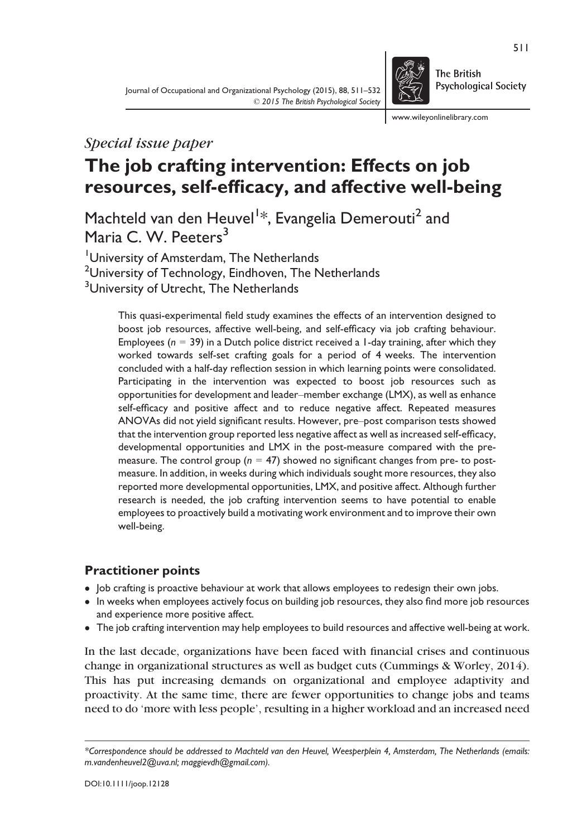

www.wileyonlinelibrary.com

# Special issue paper The job crafting intervention: Effects on job resources, self-efficacy, and affective well-being

Machteld van den Heuvel<sup>1</sup>\*, Evangelia Demerouti<sup>2</sup> and Maria C. W. Peeters $3$ 

University of Amsterdam, The Netherlands  $^2$ University of Technology, Eindhoven, The Netherlands <sup>3</sup>University of Utrecht, The Netherlands

> This quasi-experimental field study examines the effects of an intervention designed to boost job resources, affective well-being, and self-efficacy via job crafting behaviour. Employees ( $n = 39$ ) in a Dutch police district received a 1-day training, after which they worked towards self-set crafting goals for a period of 4 weeks. The intervention concluded with a half-day reflection session in which learning points were consolidated. Participating in the intervention was expected to boost job resources such as opportunities for development and leader–member exchange (LMX), as well as enhance self-efficacy and positive affect and to reduce negative affect. Repeated measures ANOVAs did not yield significant results. However, pre–post comparison tests showed that the intervention group reported less negative affect as well as increased self-efficacy, developmental opportunities and LMX in the post-measure compared with the premeasure. The control group ( $n = 47$ ) showed no significant changes from pre- to postmeasure. In addition, in weeks during which individuals sought more resources, they also reported more developmental opportunities, LMX, and positive affect. Although further research is needed, the job crafting intervention seems to have potential to enable employees to proactively build a motivating work environment and to improve their own well-being.

# Practitioner points

- Job crafting is proactive behaviour at work that allows employees to redesign their own jobs.
- In weeks when employees actively focus on building job resources, they also find more job resources and experience more positive affect.
- The job crafting intervention may help employees to build resources and affective well-being at work.

In the last decade, organizations have been faced with financial crises and continuous change in organizational structures as well as budget cuts (Cummings & Worley, 2014). This has put increasing demands on organizational and employee adaptivity and proactivity. At the same time, there are fewer opportunities to change jobs and teams need to do 'more with less people', resulting in a higher workload and an increased need

<sup>\*</sup>Correspondence should be addressed to Machteld van den Heuvel, Weesperplein 4, Amsterdam, The Netherlands (emails: m.vandenheuvel2@uva.nl; maggievdh@gmail.com).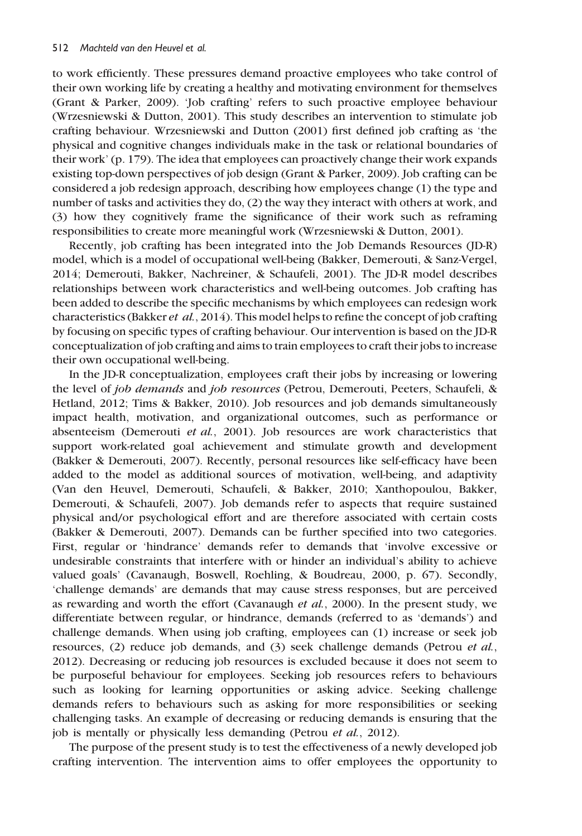to work efficiently. These pressures demand proactive employees who take control of their own working life by creating a healthy and motivating environment for themselves (Grant & Parker, 2009). 'Job crafting' refers to such proactive employee behaviour (Wrzesniewski & Dutton, 2001). This study describes an intervention to stimulate job crafting behaviour. Wrzesniewski and Dutton (2001) first defined job crafting as 'the physical and cognitive changes individuals make in the task or relational boundaries of their work' (p. 179). The idea that employees can proactively change their work expands existing top-down perspectives of job design (Grant & Parker, 2009). Job crafting can be considered a job redesign approach, describing how employees change (1) the type and number of tasks and activities they do, (2) the way they interact with others at work, and (3) how they cognitively frame the significance of their work such as reframing responsibilities to create more meaningful work (Wrzesniewski & Dutton, 2001).

Recently, job crafting has been integrated into the Job Demands Resources (JD-R) model, which is a model of occupational well-being (Bakker, Demerouti, & Sanz-Vergel, 2014; Demerouti, Bakker, Nachreiner, & Schaufeli, 2001). The JD-R model describes relationships between work characteristics and well-being outcomes. Job crafting has been added to describe the specific mechanisms by which employees can redesign work characteristics (Bakker *et al.*, 2014). This model helps to refine the concept of job crafting by focusing on specific types of crafting behaviour. Our intervention is based on the JD-R conceptualization of job crafting and aims to train employees to craft their jobs to increase their own occupational well-being.

In the JD-R conceptualization, employees craft their jobs by increasing or lowering the level of job demands and job resources (Petrou, Demerouti, Peeters, Schaufeli, & Hetland, 2012; Tims & Bakker, 2010). Job resources and job demands simultaneously impact health, motivation, and organizational outcomes, such as performance or absenteeism (Demerouti et  $al$ , 2001). Job resources are work characteristics that support work-related goal achievement and stimulate growth and development (Bakker & Demerouti, 2007). Recently, personal resources like self-efficacy have been added to the model as additional sources of motivation, well-being, and adaptivity (Van den Heuvel, Demerouti, Schaufeli, & Bakker, 2010; Xanthopoulou, Bakker, Demerouti, & Schaufeli, 2007). Job demands refer to aspects that require sustained physical and/or psychological effort and are therefore associated with certain costs (Bakker & Demerouti, 2007). Demands can be further specified into two categories. First, regular or 'hindrance' demands refer to demands that 'involve excessive or undesirable constraints that interfere with or hinder an individual's ability to achieve valued goals' (Cavanaugh, Boswell, Roehling, & Boudreau, 2000, p. 67). Secondly, 'challenge demands' are demands that may cause stress responses, but are perceived as rewarding and worth the effort (Cavanaugh et al., 2000). In the present study, we differentiate between regular, or hindrance, demands (referred to as 'demands') and challenge demands. When using job crafting, employees can (1) increase or seek job resources, (2) reduce job demands, and (3) seek challenge demands (Petrou et al., 2012). Decreasing or reducing job resources is excluded because it does not seem to be purposeful behaviour for employees. Seeking job resources refers to behaviours such as looking for learning opportunities or asking advice. Seeking challenge demands refers to behaviours such as asking for more responsibilities or seeking challenging tasks. An example of decreasing or reducing demands is ensuring that the job is mentally or physically less demanding (Petrou *et al.*, 2012).

The purpose of the present study is to test the effectiveness of a newly developed job crafting intervention. The intervention aims to offer employees the opportunity to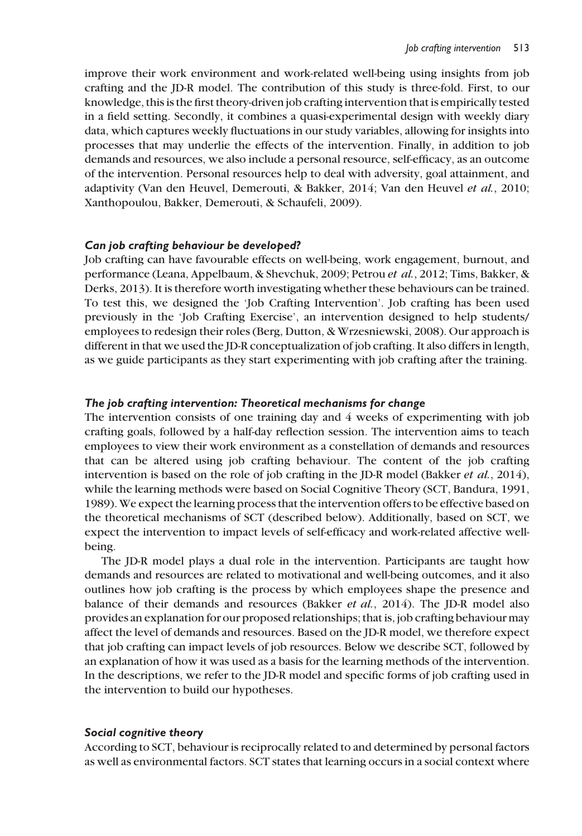improve their work environment and work-related well-being using insights from job crafting and the JD-R model. The contribution of this study is three-fold. First, to our knowledge, this is the first theory-driven job crafting intervention that is empirically tested in a field setting. Secondly, it combines a quasi-experimental design with weekly diary data, which captures weekly fluctuations in our study variables, allowing for insights into processes that may underlie the effects of the intervention. Finally, in addition to job demands and resources, we also include a personal resource, self-efficacy, as an outcome of the intervention. Personal resources help to deal with adversity, goal attainment, and adaptivity (Van den Heuvel, Demerouti, & Bakker, 2014; Van den Heuvel et al., 2010; Xanthopoulou, Bakker, Demerouti, & Schaufeli, 2009).

# Can job crafting behaviour be developed?

Job crafting can have favourable effects on well-being, work engagement, burnout, and performance (Leana, Appelbaum, & Shevchuk, 2009; Petrou et al., 2012; Tims, Bakker, & Derks, 2013). It is therefore worth investigating whether these behaviours can be trained. To test this, we designed the 'Job Crafting Intervention'. Job crafting has been used previously in the 'Job Crafting Exercise', an intervention designed to help students/ employees to redesign their roles (Berg, Dutton, & Wrzesniewski, 2008). Our approach is different in that we used the JD-R conceptualization of job crafting. It also differs in length, as we guide participants as they start experimenting with job crafting after the training.

## The job crafting intervention: Theoretical mechanisms for change

The intervention consists of one training day and 4 weeks of experimenting with job crafting goals, followed by a half-day reflection session. The intervention aims to teach employees to view their work environment as a constellation of demands and resources that can be altered using job crafting behaviour. The content of the job crafting intervention is based on the role of job crafting in the JD-R model (Bakker *et al.*, 2014), while the learning methods were based on Social Cognitive Theory (SCT, Bandura, 1991, 1989).We expect the learning process that the intervention offers to be effective based on the theoretical mechanisms of SCT (described below). Additionally, based on SCT, we expect the intervention to impact levels of self-efficacy and work-related affective wellbeing.

The JD-R model plays a dual role in the intervention. Participants are taught how demands and resources are related to motivational and well-being outcomes, and it also outlines how job crafting is the process by which employees shape the presence and balance of their demands and resources (Bakker et al., 2014). The JD-R model also provides an explanation for our proposed relationships; that is, job crafting behaviour may affect the level of demands and resources. Based on the JD-R model, we therefore expect that job crafting can impact levels of job resources. Below we describe SCT, followed by an explanation of how it was used as a basis for the learning methods of the intervention. In the descriptions, we refer to the JD-R model and specific forms of job crafting used in the intervention to build our hypotheses.

#### Social cognitive theory

According to SCT, behaviour is reciprocally related to and determined by personal factors as well as environmental factors. SCT states that learning occurs in a social context where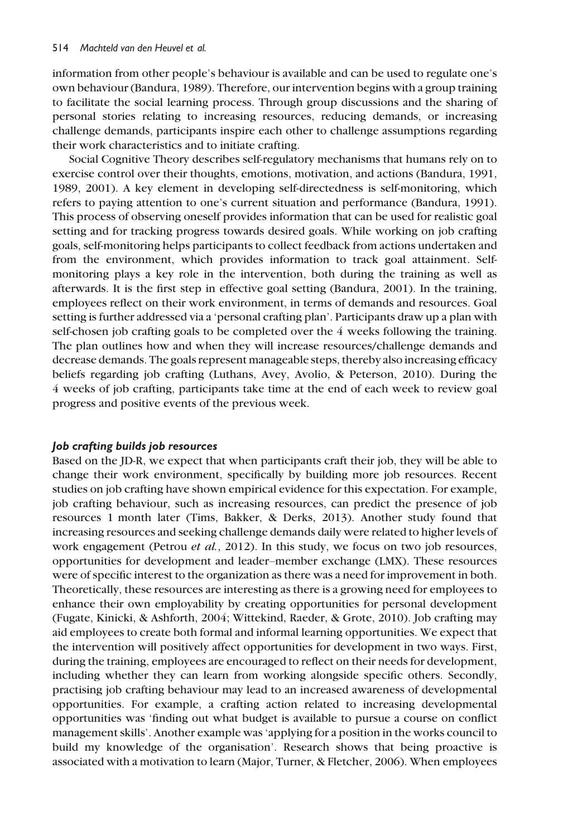information from other people's behaviour is available and can be used to regulate one's own behaviour (Bandura, 1989). Therefore, our intervention begins with a group training to facilitate the social learning process. Through group discussions and the sharing of personal stories relating to increasing resources, reducing demands, or increasing challenge demands, participants inspire each other to challenge assumptions regarding their work characteristics and to initiate crafting.

Social Cognitive Theory describes self-regulatory mechanisms that humans rely on to exercise control over their thoughts, emotions, motivation, and actions (Bandura, 1991, 1989, 2001). A key element in developing self-directedness is self-monitoring, which refers to paying attention to one's current situation and performance (Bandura, 1991). This process of observing oneself provides information that can be used for realistic goal setting and for tracking progress towards desired goals. While working on job crafting goals, self-monitoring helps participants to collect feedback from actions undertaken and from the environment, which provides information to track goal attainment. Selfmonitoring plays a key role in the intervention, both during the training as well as afterwards. It is the first step in effective goal setting (Bandura, 2001). In the training, employees reflect on their work environment, in terms of demands and resources. Goal setting is further addressed via a 'personal crafting plan'. Participants draw up a plan with self-chosen job crafting goals to be completed over the 4 weeks following the training. The plan outlines how and when they will increase resources/challenge demands and decrease demands. The goals represent manageable steps, thereby also increasing efficacy beliefs regarding job crafting (Luthans, Avey, Avolio, & Peterson, 2010). During the 4 weeks of job crafting, participants take time at the end of each week to review goal progress and positive events of the previous week.

#### Job crafting builds job resources

Based on the JD-R, we expect that when participants craft their job, they will be able to change their work environment, specifically by building more job resources. Recent studies on job crafting have shown empirical evidence for this expectation. For example, job crafting behaviour, such as increasing resources, can predict the presence of job resources 1 month later (Tims, Bakker, & Derks, 2013). Another study found that increasing resources and seeking challenge demands daily were related to higher levels of work engagement (Petrou et al., 2012). In this study, we focus on two job resources, opportunities for development and leader–member exchange (LMX). These resources were of specific interest to the organization as there was a need for improvement in both. Theoretically, these resources are interesting as there is a growing need for employees to enhance their own employability by creating opportunities for personal development (Fugate, Kinicki, & Ashforth, 2004; Wittekind, Raeder, & Grote, 2010). Job crafting may aid employees to create both formal and informal learning opportunities. We expect that the intervention will positively affect opportunities for development in two ways. First, during the training, employees are encouraged to reflect on their needs for development, including whether they can learn from working alongside specific others. Secondly, practising job crafting behaviour may lead to an increased awareness of developmental opportunities. For example, a crafting action related to increasing developmental opportunities was 'finding out what budget is available to pursue a course on conflict management skills'. Another example was 'applying for a position in the works council to build my knowledge of the organisation'. Research shows that being proactive is associated with a motivation to learn (Major, Turner, & Fletcher, 2006). When employees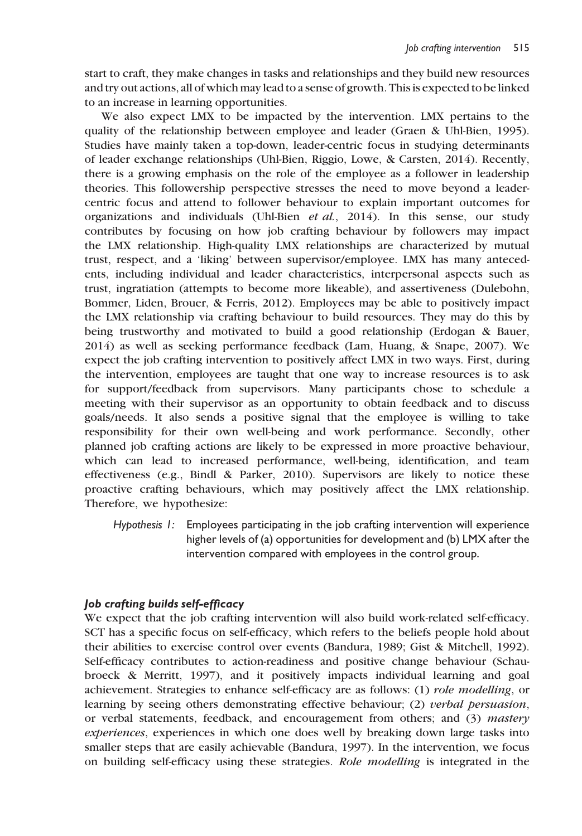start to craft, they make changes in tasks and relationships and they build new resources and try out actions, all of which may lead to a sense of growth. This is expected to be linked to an increase in learning opportunities.

We also expect LMX to be impacted by the intervention. LMX pertains to the quality of the relationship between employee and leader (Graen & Uhl-Bien, 1995). Studies have mainly taken a top-down, leader-centric focus in studying determinants of leader exchange relationships (Uhl-Bien, Riggio, Lowe, & Carsten, 2014). Recently, there is a growing emphasis on the role of the employee as a follower in leadership theories. This followership perspective stresses the need to move beyond a leadercentric focus and attend to follower behaviour to explain important outcomes for organizations and individuals (Uhl-Bien et al., 2014). In this sense, our study contributes by focusing on how job crafting behaviour by followers may impact the LMX relationship. High-quality LMX relationships are characterized by mutual trust, respect, and a 'liking' between supervisor/employee. LMX has many antecedents, including individual and leader characteristics, interpersonal aspects such as trust, ingratiation (attempts to become more likeable), and assertiveness (Dulebohn, Bommer, Liden, Brouer, & Ferris, 2012). Employees may be able to positively impact the LMX relationship via crafting behaviour to build resources. They may do this by being trustworthy and motivated to build a good relationship (Erdogan & Bauer, 2014) as well as seeking performance feedback (Lam, Huang, & Snape, 2007). We expect the job crafting intervention to positively affect LMX in two ways. First, during the intervention, employees are taught that one way to increase resources is to ask for support/feedback from supervisors. Many participants chose to schedule a meeting with their supervisor as an opportunity to obtain feedback and to discuss goals/needs. It also sends a positive signal that the employee is willing to take responsibility for their own well-being and work performance. Secondly, other planned job crafting actions are likely to be expressed in more proactive behaviour, which can lead to increased performance, well-being, identification, and team effectiveness (e.g., Bindl & Parker, 2010). Supervisors are likely to notice these proactive crafting behaviours, which may positively affect the LMX relationship. Therefore, we hypothesize:

Hypothesis 1: Employees participating in the job crafting intervention will experience higher levels of (a) opportunities for development and (b) LMX after the intervention compared with employees in the control group.

# Job crafting builds self-efficacy

We expect that the job crafting intervention will also build work-related self-efficacy. SCT has a specific focus on self-efficacy, which refers to the beliefs people hold about their abilities to exercise control over events (Bandura, 1989; Gist & Mitchell, 1992). Self-efficacy contributes to action-readiness and positive change behaviour (Schaubroeck & Merritt, 1997), and it positively impacts individual learning and goal achievement. Strategies to enhance self-efficacy are as follows: (1) role modelling, or learning by seeing others demonstrating effective behaviour; (2) verbal persuasion, or verbal statements, feedback, and encouragement from others; and (3) mastery experiences, experiences in which one does well by breaking down large tasks into smaller steps that are easily achievable (Bandura, 1997). In the intervention, we focus on building self-efficacy using these strategies. Role modelling is integrated in the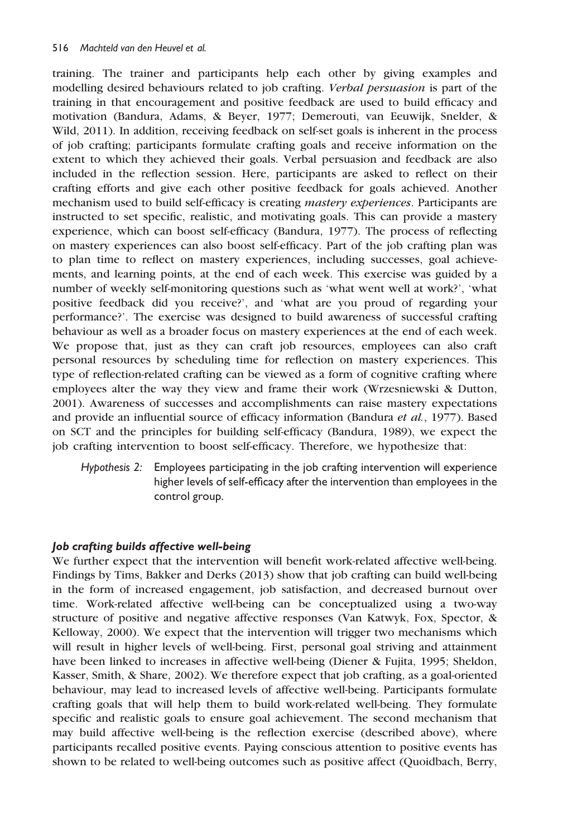training. The trainer and participants help each other by giving examples and modelling desired behaviours related to job crafting. Verbal persuasion is part of the training in that encouragement and positive feedback are used to build efficacy and motivation (Bandura, Adams, & Beyer, 1977; Demerouti, van Eeuwijk, Snelder, & Wild, 2011). In addition, receiving feedback on self-set goals is inherent in the process of job crafting; participants formulate crafting goals and receive information on the extent to which they achieved their goals. Verbal persuasion and feedback are also included in the reflection session. Here, participants are asked to reflect on their crafting efforts and give each other positive feedback for goals achieved. Another mechanism used to build self-efficacy is creating *mastery experiences*. Participants are instructed to set specific, realistic, and motivating goals. This can provide a mastery experience, which can boost self-efficacy (Bandura, 1977). The process of reflecting on mastery experiences can also boost self-efficacy. Part of the job crafting plan was to plan time to reflect on mastery experiences, including successes, goal achievements, and learning points, at the end of each week. This exercise was guided by a number of weekly self-monitoring questions such as 'what went well at work?', 'what positive feedback did you receive?', and 'what are you proud of regarding your performance?'. The exercise was designed to build awareness of successful crafting behaviour as well as a broader focus on mastery experiences at the end of each week. We propose that, just as they can craft job resources, employees can also craft personal resources by scheduling time for reflection on mastery experiences. This type of reflection-related crafting can be viewed as a form of cognitive crafting where employees alter the way they view and frame their work (Wrzesniewski & Dutton, 2001). Awareness of successes and accomplishments can raise mastery expectations and provide an influential source of efficacy information (Bandura et al., 1977). Based on SCT and the principles for building self-efficacy (Bandura, 1989), we expect the job crafting intervention to boost self-efficacy. Therefore, we hypothesize that:

Hypothesis 2: Employees participating in the job crafting intervention will experience higher levels of self-efficacy after the intervention than employees in the control group.

# Job crafting builds affective well-being

We further expect that the intervention will benefit work-related affective well-being. Findings by Tims, Bakker and Derks (2013) show that job crafting can build well-being in the form of increased engagement, job satisfaction, and decreased burnout over time. Work-related affective well-being can be conceptualized using a two-way structure of positive and negative affective responses (Van Katwyk, Fox, Spector, & Kelloway, 2000). We expect that the intervention will trigger two mechanisms which will result in higher levels of well-being. First, personal goal striving and attainment have been linked to increases in affective well-being (Diener & Fujita, 1995; Sheldon, Kasser, Smith, & Share, 2002). We therefore expect that job crafting, as a goal-oriented behaviour, may lead to increased levels of affective well-being. Participants formulate crafting goals that will help them to build work-related well-being. They formulate specific and realistic goals to ensure goal achievement. The second mechanism that may build affective well-being is the reflection exercise (described above), where participants recalled positive events. Paying conscious attention to positive events has shown to be related to well-being outcomes such as positive affect (Quoidbach, Berry,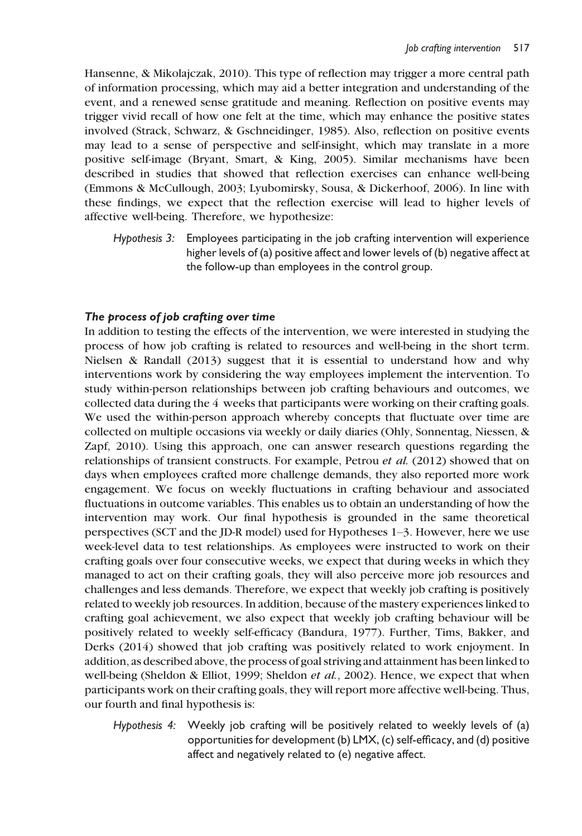Hansenne, & Mikolajczak, 2010). This type of reflection may trigger a more central path of information processing, which may aid a better integration and understanding of the event, and a renewed sense gratitude and meaning. Reflection on positive events may trigger vivid recall of how one felt at the time, which may enhance the positive states involved (Strack, Schwarz, & Gschneidinger, 1985). Also, reflection on positive events may lead to a sense of perspective and self-insight, which may translate in a more positive self-image (Bryant, Smart, & King, 2005). Similar mechanisms have been described in studies that showed that reflection exercises can enhance well-being (Emmons & McCullough, 2003; Lyubomirsky, Sousa, & Dickerhoof, 2006). In line with these findings, we expect that the reflection exercise will lead to higher levels of affective well-being. Therefore, we hypothesize:

Hypothesis 3: Employees participating in the job crafting intervention will experience higher levels of (a) positive affect and lower levels of (b) negative affect at the follow-up than employees in the control group.

# The process of job crafting over time

In addition to testing the effects of the intervention, we were interested in studying the process of how job crafting is related to resources and well-being in the short term. Nielsen & Randall (2013) suggest that it is essential to understand how and why interventions work by considering the way employees implement the intervention. To study within-person relationships between job crafting behaviours and outcomes, we collected data during the 4 weeks that participants were working on their crafting goals. We used the within-person approach whereby concepts that fluctuate over time are collected on multiple occasions via weekly or daily diaries (Ohly, Sonnentag, Niessen, & Zapf, 2010). Using this approach, one can answer research questions regarding the relationships of transient constructs. For example, Petrou et al. (2012) showed that on days when employees crafted more challenge demands, they also reported more work engagement. We focus on weekly fluctuations in crafting behaviour and associated fluctuations in outcome variables. This enables us to obtain an understanding of how the intervention may work. Our final hypothesis is grounded in the same theoretical perspectives (SCT and the JD-R model) used for Hypotheses 1–3. However, here we use week-level data to test relationships. As employees were instructed to work on their crafting goals over four consecutive weeks, we expect that during weeks in which they managed to act on their crafting goals, they will also perceive more job resources and challenges and less demands. Therefore, we expect that weekly job crafting is positively related to weekly job resources. In addition, because of the mastery experiences linked to crafting goal achievement, we also expect that weekly job crafting behaviour will be positively related to weekly self-efficacy (Bandura, 1977). Further, Tims, Bakker, and Derks (2014) showed that job crafting was positively related to work enjoyment. In addition, as described above, the process of goal striving and attainment has been linked to well-being (Sheldon & Elliot, 1999; Sheldon *et al.*, 2002). Hence, we expect that when participants work on their crafting goals, they will report more affective well-being. Thus, our fourth and final hypothesis is:

Hypothesis 4: Weekly job crafting will be positively related to weekly levels of (a) opportunities for development (b) LMX, (c) self-efficacy, and (d) positive affect and negatively related to (e) negative affect.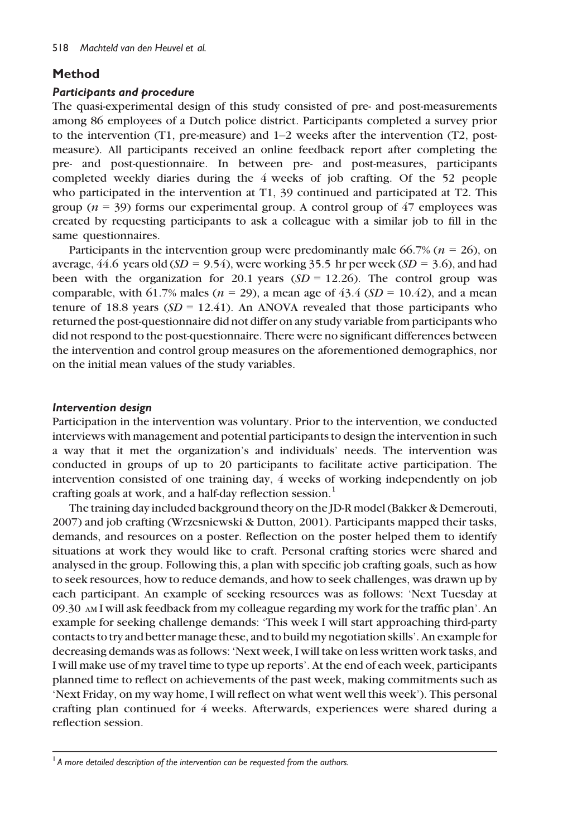# Method

## Participants and procedure

The quasi-experimental design of this study consisted of pre- and post-measurements among 86 employees of a Dutch police district. Participants completed a survey prior to the intervention (T1, pre-measure) and 1–2 weeks after the intervention (T2, postmeasure). All participants received an online feedback report after completing the pre- and post-questionnaire. In between pre- and post-measures, participants completed weekly diaries during the 4 weeks of job crafting. Of the 52 people who participated in the intervention at T1, 39 continued and participated at T2. This group ( $n = 39$ ) forms our experimental group. A control group of 47 employees was created by requesting participants to ask a colleague with a similar job to fill in the same questionnaires.

Participants in the intervention group were predominantly male 66.7% ( $n = 26$ ), on average, 44.6 years old  $(SD = 9.54)$ , were working 35.5 hr per week  $(SD = 3.6)$ , and had been with the organization for 20.1 years ( $SD = 12.26$ ). The control group was comparable, with 61.7% males ( $n = 29$ ), a mean age of 43.4 ( $SD = 10.42$ ), and a mean tenure of 18.8 years  $(SD = 12.41)$ . An ANOVA revealed that those participants who returned the post-questionnaire did not differ on any study variable from participants who did not respond to the post-questionnaire. There were no significant differences between the intervention and control group measures on the aforementioned demographics, nor on the initial mean values of the study variables.

#### Intervention design

Participation in the intervention was voluntary. Prior to the intervention, we conducted interviews with management and potential participants to design the intervention in such a way that it met the organization's and individuals' needs. The intervention was conducted in groups of up to 20 participants to facilitate active participation. The intervention consisted of one training day, 4 weeks of working independently on job crafting goals at work, and a half-day reflection session.<sup>1</sup>

The training day included background theory on the JD-R model (Bakker & Demerouti, 2007) and job crafting (Wrzesniewski & Dutton, 2001). Participants mapped their tasks, demands, and resources on a poster. Reflection on the poster helped them to identify situations at work they would like to craft. Personal crafting stories were shared and analysed in the group. Following this, a plan with specific job crafting goals, such as how to seek resources, how to reduce demands, and how to seek challenges, was drawn up by each participant. An example of seeking resources was as follows: 'Next Tuesday at 09.30 AM I will ask feedback from my colleague regarding my work for the traffic plan'. An example for seeking challenge demands: 'This week I will start approaching third-party contacts to try and better manage these, and to build my negotiation skills'. An example for decreasing demands was as follows: 'Next week, I will take on less written work tasks, and I will make use of my travel time to type up reports'. At the end of each week, participants planned time to reflect on achievements of the past week, making commitments such as 'Next Friday, on my way home, I will reflect on what went well this week'). This personal crafting plan continued for 4 weeks. Afterwards, experiences were shared during a reflection session.

 $<sup>1</sup>$  A more detailed description of the intervention can be requested from the authors.</sup>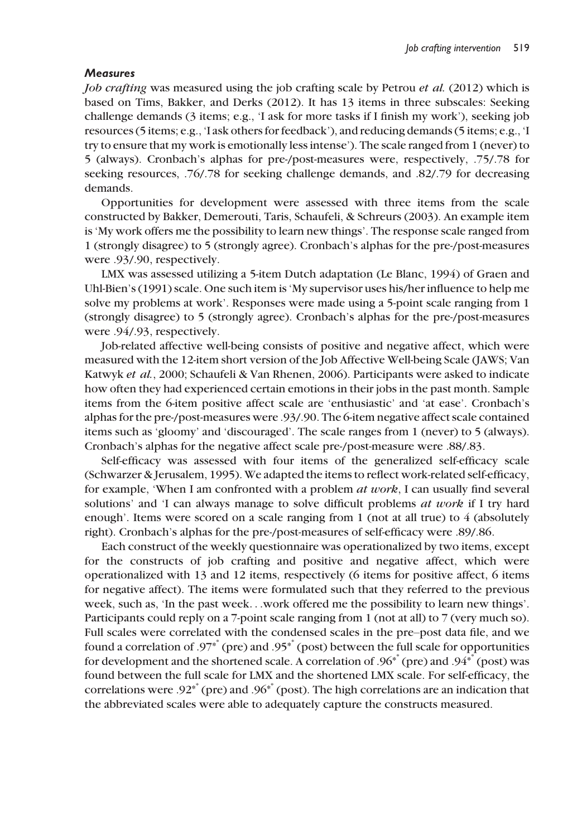#### **Measures**

Job crafting was measured using the job crafting scale by Petrou *et al.* (2012) which is based on Tims, Bakker, and Derks (2012). It has 13 items in three subscales: Seeking challenge demands (3 items; e.g., 'I ask for more tasks if I finish my work'), seeking job resources (5 items; e.g., 'I ask others for feedback'), and reducing demands (5 items; e.g., 'I try to ensure that my work is emotionally less intense'). The scale ranged from 1 (never) to 5 (always). Cronbach's alphas for pre-/post-measures were, respectively, .75/.78 for seeking resources, .76/.78 for seeking challenge demands, and .82/.79 for decreasing demands.

Opportunities for development were assessed with three items from the scale constructed by Bakker, Demerouti, Taris, Schaufeli, & Schreurs (2003). An example item is 'My work offers me the possibility to learn new things'. The response scale ranged from 1 (strongly disagree) to 5 (strongly agree). Cronbach's alphas for the pre-/post-measures were .93/.90, respectively.

LMX was assessed utilizing a 5-item Dutch adaptation (Le Blanc, 1994) of Graen and Uhl-Bien's (1991) scale. One such item is 'My supervisor uses his/her influence to help me solve my problems at work'. Responses were made using a 5-point scale ranging from 1 (strongly disagree) to 5 (strongly agree). Cronbach's alphas for the pre-/post-measures were .94/.93, respectively.

Job-related affective well-being consists of positive and negative affect, which were measured with the 12-item short version of the Job Affective Well-being Scale (JAWS; Van Katwyk et al., 2000; Schaufeli & Van Rhenen, 2006). Participants were asked to indicate how often they had experienced certain emotions in their jobs in the past month. Sample items from the 6-item positive affect scale are 'enthusiastic' and 'at ease'. Cronbach's alphas for the pre-/post-measures were .93/.90. The 6-item negative affect scale contained items such as 'gloomy' and 'discouraged'. The scale ranges from 1 (never) to 5 (always). Cronbach's alphas for the negative affect scale pre-/post-measure were .88/.83.

Self-efficacy was assessed with four items of the generalized self-efficacy scale (Schwarzer & Jerusalem, 1995). We adapted the items to reflect work-related self-efficacy, for example, 'When I am confronted with a problem at work, I can usually find several solutions' and 'I can always manage to solve difficult problems *at work* if I try hard enough'. Items were scored on a scale ranging from 1 (not at all true) to 4 (absolutely right). Cronbach's alphas for the pre-/post-measures of self-efficacy were .89/.86.

Each construct of the weekly questionnaire was operationalized by two items, except for the constructs of job crafting and positive and negative affect, which were operationalized with 13 and 12 items, respectively (6 items for positive affect, 6 items for negative affect). The items were formulated such that they referred to the previous week, such as, 'In the past week...work offered me the possibility to learn new things'. Participants could reply on a 7-point scale ranging from 1 (not at all) to 7 (very much so). Full scales were correlated with the condensed scales in the pre–post data file, and we found a correlation of .97<sup>\*</sup> (pre) and .95<sup>\*</sup> (post) between the full scale for opportunities for development and the shortened scale. A correlation of  $.96^{*}$  (pre) and  $.94^{*}$  (post) was found between the full scale for LMX and the shortened LMX scale. For self-efficacy, the correlations were .92\*\* (pre) and .96\*\* (post). The high correlations are an indication that the abbreviated scales were able to adequately capture the constructs measured.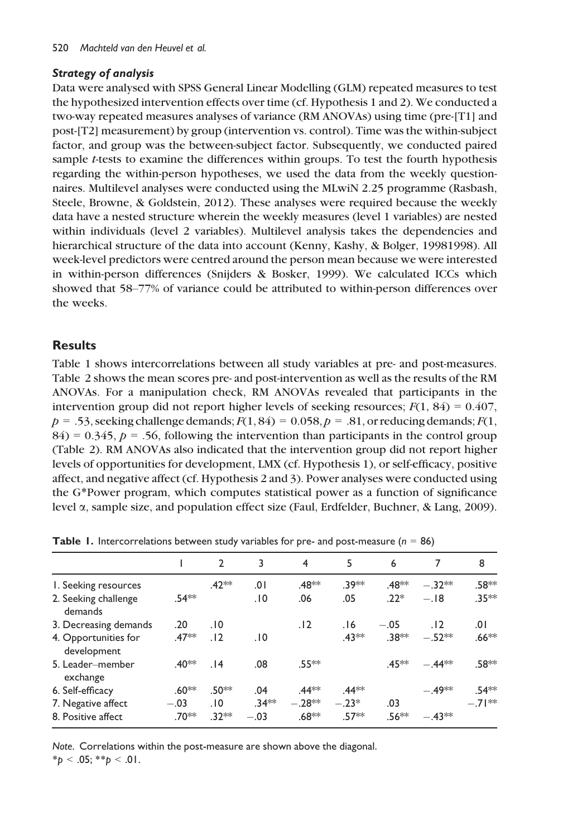## Strategy of analysis

Data were analysed with SPSS General Linear Modelling (GLM) repeated measures to test the hypothesized intervention effects over time (cf. Hypothesis 1 and 2). We conducted a two-way repeated measures analyses of variance (RM ANOVAs) using time (pre-[T1] and post-[T2] measurement) by group (intervention vs. control). Time was the within-subject factor, and group was the between-subject factor. Subsequently, we conducted paired sample *t*-tests to examine the differences within groups. To test the fourth hypothesis regarding the within-person hypotheses, we used the data from the weekly questionnaires. Multilevel analyses were conducted using the MLwiN 2.25 programme (Rasbash, Steele, Browne, & Goldstein, 2012). These analyses were required because the weekly data have a nested structure wherein the weekly measures (level 1 variables) are nested within individuals (level 2 variables). Multilevel analysis takes the dependencies and hierarchical structure of the data into account (Kenny, Kashy, & Bolger, 19981998). All week-level predictors were centred around the person mean because we were interested in within-person differences (Snijders & Bosker, 1999). We calculated ICCs which showed that 58–77% of variance could be attributed to within-person differences over the weeks.

# **Results**

Table 1 shows intercorrelations between all study variables at pre- and post-measures. Table 2 shows the mean scores pre- and post-intervention as well as the results of the RM ANOVAs. For a manipulation check, RM ANOVAs revealed that participants in the intervention group did not report higher levels of seeking resources;  $F(1, 84) = 0.407$ ,  $p = .53$ , seeking challenge demands;  $F(1, 84) = 0.058$ ,  $p = .81$ , or reducing demands;  $F(1, 84) = 0.058$ ,  $p = .81$ , or reducing demands;  $F(1, 84) = 0.058$  $84$ ) = 0.345,  $p = .56$ , following the intervention than participants in the control group (Table 2). RM ANOVAs also indicated that the intervention group did not report higher levels of opportunities for development, LMX (cf. Hypothesis 1), or self-efficacy, positive affect, and negative affect (cf. Hypothesis 2 and 3). Power analyses were conducted using the G\*Power program, which computes statistical power as a function of significance level a, sample size, and population effect size (Faul, Erdfelder, Buchner, & Lang, 2009).

| <b>Table 1.</b> Intercorrelations between study variables for pre- and post-measure ( $n = 86$ ) |  |  |
|--------------------------------------------------------------------------------------------------|--|--|
|--------------------------------------------------------------------------------------------------|--|--|

|                                     |                    | $\overline{2}$     | 3        | 4                  | 5       | 6                 |          | 8                 |
|-------------------------------------|--------------------|--------------------|----------|--------------------|---------|-------------------|----------|-------------------|
| I. Seeking resources                |                    | .42 <sup>∗∗</sup>  | .01      | .48 **             | .39**   | .48 **            | $-.32**$ | .58**             |
| 2. Seeking challenge<br>demands     | .54**              |                    | .10      | .06                | .05     | $.22*$            | $-.18$   | $.35**$           |
| 3. Decreasing demands               | .20                | .10                |          | .12                | 16.     | $-.05$            | .12      | .01               |
| 4. Opportunities for<br>development | .47 <sup>*</sup> * | .12                | .10      |                    | $.43**$ | .38**             | $-.52**$ | .66**             |
| 5. Leader-member<br>exchange        | .40 <sup>*</sup> * | .14                | .08      | .55**              |         | .45**             | $-.44**$ | .58**             |
| 6. Self-efficacy                    | $.60**$            | .50 <sup>*</sup> * | .04      | $.44***$           | $.44**$ |                   | $-.49**$ | .54 <sup>**</sup> |
| 7. Negative affect                  | $-.03$             | .10                | $.34***$ | $-.28**$           | $-.23*$ | .03               |          | $-.7$  **         |
| 8. Positive affect                  | .70**              | $.32**$            | $-.03$   | .68 <sup>*</sup> * | .57**   | .56 <sup>**</sup> | $-.43**$ |                   |

Note. Correlations within the post-measure are shown above the diagonal.  $*_{D}$  < .05;  $*_{D}$  < .01.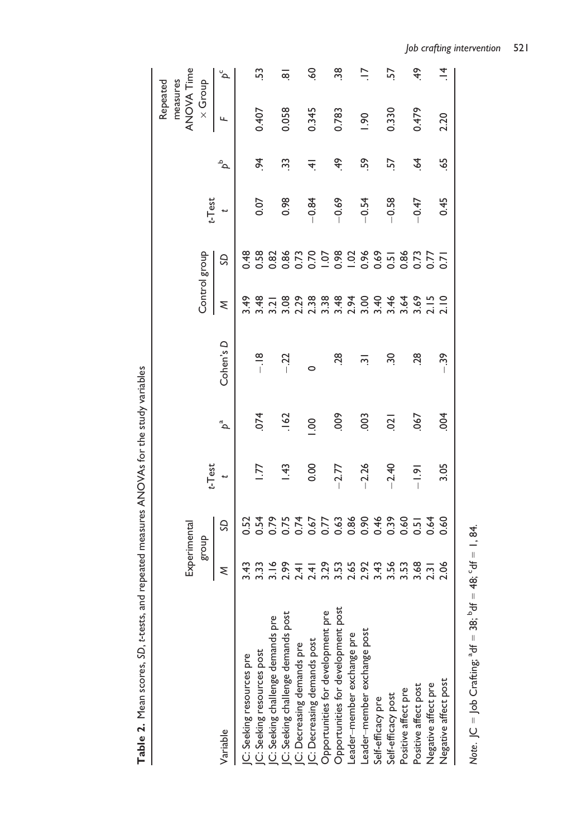|                                    | Experimental<br>dno.18 |      | t-Test         |                |                 |                                                                  | Control group  | t-Test  |                      | <b>ANOVATime</b><br>measures<br>$\times$ Group<br>Repeated |                     |
|------------------------------------|------------------------|------|----------------|----------------|-----------------|------------------------------------------------------------------|----------------|---------|----------------------|------------------------------------------------------------|---------------------|
| Variable                           | Σ                      | SD   |                | $\beta^a$      | Cohen's D       | ξ                                                                | SD             |         | $a^{\mathsf{d}}$     | u                                                          | $b^{\mathsf{c}}$    |
| C: Seeking resources pre           | ૱                      | 0.52 |                |                |                 | $\ddot{ }$                                                       | 0.48           |         |                      |                                                            |                     |
| C: Seeking resources post          | က္ပြ                   |      | I.T            | 074            | $\frac{8}{1}$   | $rac{4}{5}$                                                      | 0.58           | 0.07    | $\ddot{\varepsilon}$ | 0.407                                                      | ဣ                   |
| C: Seeking challenge demands pre   |                        |      |                |                |                 |                                                                  | 0.82           |         |                      |                                                            |                     |
| C: Seeking challenge demands post  |                        |      | $\frac{43}{5}$ | $-162$         | $-22$           | 1 8 8 8 8 9 4 5 6 4 5 6 5 7 0<br>1 8 9 8 8 8 9 4 5 6 4 5 6 5 7 0 | 0.86           | 0.98    |                      | 0.058                                                      | $\overline{\infty}$ |
| C: Decreasing demands pre          |                        |      |                |                |                 |                                                                  | 2.73           |         |                      |                                                            |                     |
| C: Decreasing demands post         |                        |      | 8.00           | $\frac{8}{1}$  |                 |                                                                  |                | $-0.84$ | ₹                    | 0.345                                                      | ය.                  |
| Opportunities for development pre  |                        |      |                |                |                 |                                                                  |                |         |                      |                                                            |                     |
| Opportunities for development post |                        |      | $-2.77$        | 600            | 28              |                                                                  |                | $-0.69$ | $\frac{49}{5}$       | 0.783                                                      | 38                  |
| Leader-member exchange pre         |                        |      |                |                |                 |                                                                  | 7.58088778     |         |                      |                                                            |                     |
| Leader-member exchange post        |                        |      | $-2.26$        | $\overline{0}$ |                 |                                                                  |                | $-0.54$ | 59                   | $\frac{8}{1}$                                              |                     |
| Self-efficacy pre                  |                        |      |                |                |                 |                                                                  |                |         |                      |                                                            |                     |
| Self-efficacy post                 |                        | 0.39 | $-2.40$        | $\overline{2}$ | $\overline{.}0$ |                                                                  |                | $-0.58$ | 57                   | 0.330                                                      | Ŗ                   |
| Positive affect pre                |                        | 0.51 |                |                |                 |                                                                  |                |         |                      |                                                            |                     |
| Positive affect post               |                        |      | $-1.91$        | 067            | 28              |                                                                  | 0.73           | $-0.47$ | \$4                  | 0.479                                                      | <del>६</del>        |
| Negative affect pre                |                        | 0.64 |                |                |                 |                                                                  |                |         |                      |                                                            |                     |
| Negative affect post               |                        | 0.60 | 3.05           | 004            | $-39$           |                                                                  | $\overline{2}$ | 0.45    | -95                  | 2.20                                                       | ュ                   |

Table 2. Mean scores, SD, t-tests, and repeated measures ANOVAs for the study variables **Table 2.** Mean scores, SD, t-tests, and repeated measures ANOVAs for the study variables

Note.  $JC = Job$  Crafting;  ${}^{3}df = 38$ ;  ${}^{b}df = 48$ ;  $`df = 1, 84$ . Note.  $JC = Job$  Crafting;  ${}^{3}$ df = 38;  ${}^{6}$ df = 48;  ${}^{6}$ df = 1, 84.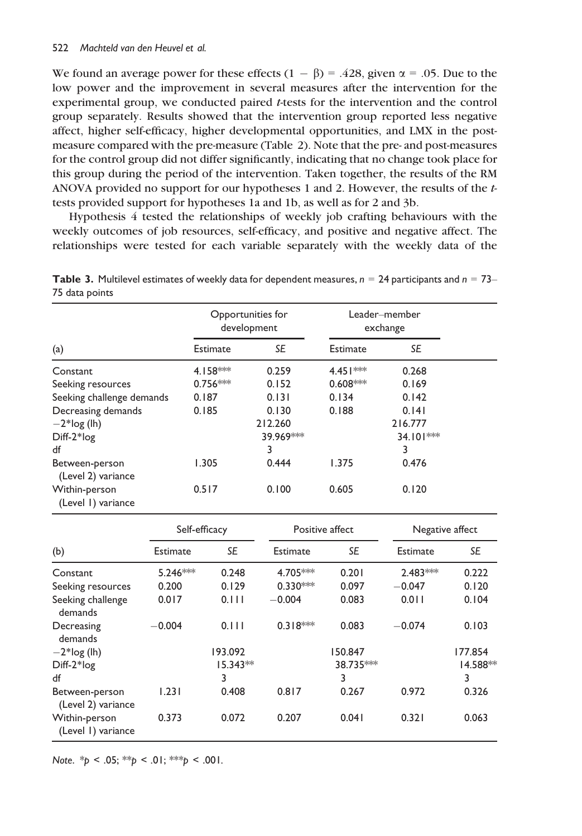We found an average power for these effects  $(1 - \beta) = .428$ , given  $\alpha = .05$ . Due to the low power and the improvement in several measures after the intervention for the experimental group, we conducted paired *t*-tests for the intervention and the control group separately. Results showed that the intervention group reported less negative affect, higher self-efficacy, higher developmental opportunities, and LMX in the postmeasure compared with the pre-measure (Table 2). Note that the pre- and post-measures for the control group did not differ significantly, indicating that no change took place for this group during the period of the intervention. Taken together, the results of the RM ANOVA provided no support for our hypotheses 1 and 2. However, the results of the  $t$ tests provided support for hypotheses 1a and 1b, as well as for 2 and 3b.

Hypothesis 4 tested the relationships of weekly job crafting behaviours with the weekly outcomes of job resources, self-efficacy, and positive and negative affect. The relationships were tested for each variable separately with the weekly data of the

|                                      |            | Opportunities for<br>development |            | Leader-member<br>exchange |  |
|--------------------------------------|------------|----------------------------------|------------|---------------------------|--|
| (a)                                  | Estimate   | <b>SE</b>                        | Estimate   | SE                        |  |
| Constant                             | 4.158***   | 0.259                            | $4.451***$ | 0.268                     |  |
| Seeking resources                    | $0.756***$ | 0.152                            | $0.608***$ | 0.169                     |  |
| Seeking challenge demands            | 0.187      | 0.131                            | 0.134      | 0.142                     |  |
| Decreasing demands                   | 0.185      | 0.130                            | 0.188      | 0.141                     |  |
| $-2^*$ log (lh)                      |            | 212.260                          |            | 216.777                   |  |
| Diff-2*log                           |            | 39.969***                        |            | 34.101***                 |  |
| df                                   |            | 3                                |            | 3                         |  |
| Between-person<br>(Level 2) variance | 1.305      | 0.444                            | 1.375      | 0.476                     |  |
| Within-person<br>(Level I) variance  | 0.517      | 0.100                            | 0.605      | 0.120                     |  |

**Table 3.** Multilevel estimates of weekly data for dependent measures,  $n = 24$  participants and  $n = 73-$ 75 data points

|                                      | Self-efficacy |            | Positive affect |           | Negative affect |          |
|--------------------------------------|---------------|------------|-----------------|-----------|-----------------|----------|
| (b)                                  | Estimate      | SE         | Estimate        | SE        | Estimate        | SE       |
| Constant                             | 5.246***      | 0.248      | 4.705***        | 0.201     | $2.483***$      | 0.222    |
| Seeking resources                    | 0.200         | 0.129      | $0.330***$      | 0.097     | $-0.047$        | 0.120    |
| Seeking challenge<br>demands         | 0.017         | 0.111      | $-0.004$        | 0.083     | 0.011           | 0.104    |
| Decreasing<br>demands                | $-0.004$      | 0.111      | $0.318***$      | 0.083     | $-0.074$        | 0.103    |
| $-2$ *log (lh)                       |               | 193.092    |                 | 150.847   |                 | 177.854  |
| $Diff-2*log$                         |               | $15.343**$ |                 | 38.735*** |                 | 14.588** |
| df                                   |               | 3          |                 | 3         |                 | 3        |
| Between-person<br>(Level 2) variance | 1.231         | 0.408      | 0.817           | 0.267     | 0.972           | 0.326    |
| Within-person<br>(Level 1) variance  | 0.373         | 0.072      | 0.207           | 0.041     | 0.321           | 0.063    |

Note.  $*_b$  < .05;  $*_b$  < .01;  $**_b$  < .001.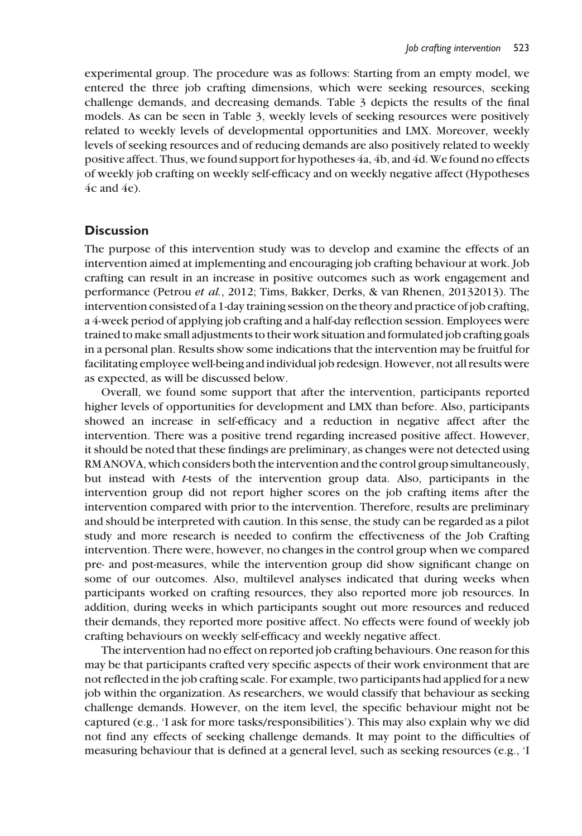experimental group. The procedure was as follows: Starting from an empty model, we entered the three job crafting dimensions, which were seeking resources, seeking challenge demands, and decreasing demands. Table 3 depicts the results of the final models. As can be seen in Table 3, weekly levels of seeking resources were positively related to weekly levels of developmental opportunities and LMX. Moreover, weekly levels of seeking resources and of reducing demands are also positively related to weekly positive affect. Thus, we found support for hypotheses 4a, 4b, and 4d. We found no effects of weekly job crafting on weekly self-efficacy and on weekly negative affect (Hypotheses  $4c$  and  $4e$ ).

# **Discussion**

The purpose of this intervention study was to develop and examine the effects of an intervention aimed at implementing and encouraging job crafting behaviour at work. Job crafting can result in an increase in positive outcomes such as work engagement and performance (Petrou et al., 2012; Tims, Bakker, Derks, & van Rhenen, 20132013). The intervention consisted of a 1-day training session on the theory and practice of job crafting, a 4-week period of applying job crafting and a half-day reflection session. Employees were trained to make small adjustments to their work situation and formulated job crafting goals in a personal plan. Results show some indications that the intervention may be fruitful for facilitating employee well-being and individual job redesign. However, not all results were as expected, as will be discussed below.

Overall, we found some support that after the intervention, participants reported higher levels of opportunities for development and LMX than before. Also, participants showed an increase in self-efficacy and a reduction in negative affect after the intervention. There was a positive trend regarding increased positive affect. However, it should be noted that these findings are preliminary, as changes were not detected using RM ANOVA, which considers both the intervention and the control group simultaneously, but instead with  $t$ -tests of the intervention group data. Also, participants in the intervention group did not report higher scores on the job crafting items after the intervention compared with prior to the intervention. Therefore, results are preliminary and should be interpreted with caution. In this sense, the study can be regarded as a pilot study and more research is needed to confirm the effectiveness of the Job Crafting intervention. There were, however, no changes in the control group when we compared pre- and post-measures, while the intervention group did show significant change on some of our outcomes. Also, multilevel analyses indicated that during weeks when participants worked on crafting resources, they also reported more job resources. In addition, during weeks in which participants sought out more resources and reduced their demands, they reported more positive affect. No effects were found of weekly job crafting behaviours on weekly self-efficacy and weekly negative affect.

The intervention had no effect on reported job crafting behaviours. One reason for this may be that participants crafted very specific aspects of their work environment that are not reflected in the job crafting scale. For example, two participants had applied for a new job within the organization. As researchers, we would classify that behaviour as seeking challenge demands. However, on the item level, the specific behaviour might not be captured (e.g., 'I ask for more tasks/responsibilities'). This may also explain why we did not find any effects of seeking challenge demands. It may point to the difficulties of measuring behaviour that is defined at a general level, such as seeking resources (e.g., 'I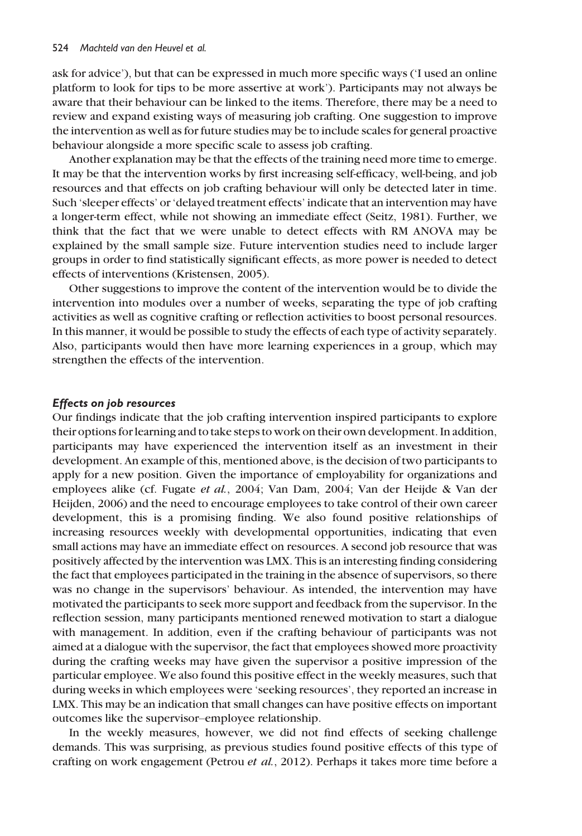ask for advice'), but that can be expressed in much more specific ways ('I used an online platform to look for tips to be more assertive at work'). Participants may not always be aware that their behaviour can be linked to the items. Therefore, there may be a need to review and expand existing ways of measuring job crafting. One suggestion to improve the intervention as well as for future studies may be to include scales for general proactive behaviour alongside a more specific scale to assess job crafting.

Another explanation may be that the effects of the training need more time to emerge. It may be that the intervention works by first increasing self-efficacy, well-being, and job resources and that effects on job crafting behaviour will only be detected later in time. Such 'sleeper effects' or 'delayed treatment effects' indicate that an intervention may have a longer-term effect, while not showing an immediate effect (Seitz, 1981). Further, we think that the fact that we were unable to detect effects with RM ANOVA may be explained by the small sample size. Future intervention studies need to include larger groups in order to find statistically significant effects, as more power is needed to detect effects of interventions (Kristensen, 2005).

Other suggestions to improve the content of the intervention would be to divide the intervention into modules over a number of weeks, separating the type of job crafting activities as well as cognitive crafting or reflection activities to boost personal resources. In this manner, it would be possible to study the effects of each type of activity separately. Also, participants would then have more learning experiences in a group, which may strengthen the effects of the intervention.

#### Effects on job resources

Our findings indicate that the job crafting intervention inspired participants to explore their options for learning and to take steps to work on their own development. In addition, participants may have experienced the intervention itself as an investment in their development. An example of this, mentioned above, is the decision of two participants to apply for a new position. Given the importance of employability for organizations and employees alike (cf. Fugate et al., 2004; Van Dam, 2004; Van der Heijde & Van der Heijden, 2006) and the need to encourage employees to take control of their own career development, this is a promising finding. We also found positive relationships of increasing resources weekly with developmental opportunities, indicating that even small actions may have an immediate effect on resources. A second job resource that was positively affected by the intervention was LMX. This is an interesting finding considering the fact that employees participated in the training in the absence of supervisors, so there was no change in the supervisors' behaviour. As intended, the intervention may have motivated the participants to seek more support and feedback from the supervisor. In the reflection session, many participants mentioned renewed motivation to start a dialogue with management. In addition, even if the crafting behaviour of participants was not aimed at a dialogue with the supervisor, the fact that employees showed more proactivity during the crafting weeks may have given the supervisor a positive impression of the particular employee. We also found this positive effect in the weekly measures, such that during weeks in which employees were 'seeking resources', they reported an increase in LMX. This may be an indication that small changes can have positive effects on important outcomes like the supervisor–employee relationship.

In the weekly measures, however, we did not find effects of seeking challenge demands. This was surprising, as previous studies found positive effects of this type of crafting on work engagement (Petrou et al., 2012). Perhaps it takes more time before a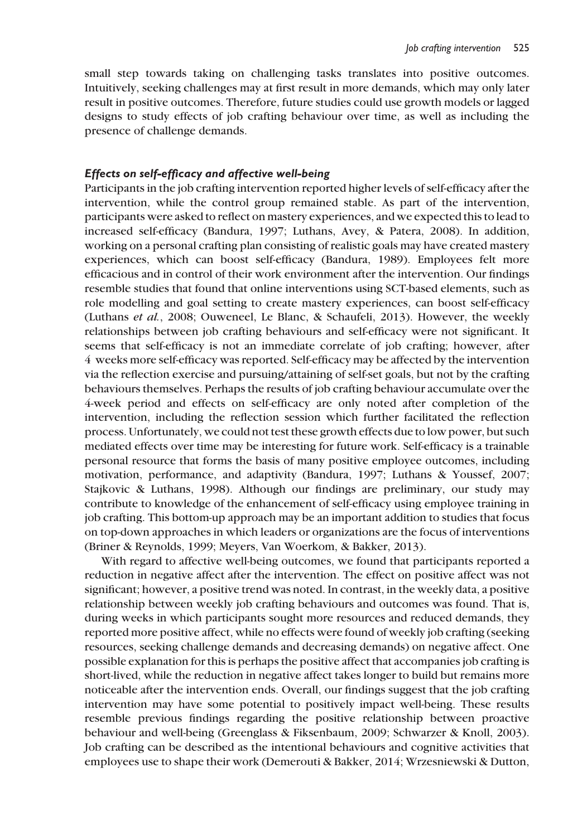small step towards taking on challenging tasks translates into positive outcomes. Intuitively, seeking challenges may at first result in more demands, which may only later result in positive outcomes. Therefore, future studies could use growth models or lagged designs to study effects of job crafting behaviour over time, as well as including the presence of challenge demands.

## Effects on self-efficacy and affective well-being

Participants in the job crafting intervention reported higher levels of self-efficacy after the intervention, while the control group remained stable. As part of the intervention, participants were asked to reflect on mastery experiences, and we expected this to lead to increased self-efficacy (Bandura, 1997; Luthans, Avey, & Patera, 2008). In addition, working on a personal crafting plan consisting of realistic goals may have created mastery experiences, which can boost self-efficacy (Bandura, 1989). Employees felt more efficacious and in control of their work environment after the intervention. Our findings resemble studies that found that online interventions using SCT-based elements, such as role modelling and goal setting to create mastery experiences, can boost self-efficacy (Luthans et al., 2008; Ouweneel, Le Blanc, & Schaufeli, 2013). However, the weekly relationships between job crafting behaviours and self-efficacy were not significant. It seems that self-efficacy is not an immediate correlate of job crafting; however, after 4 weeks more self-efficacy was reported. Self-efficacy may be affected by the intervention via the reflection exercise and pursuing/attaining of self-set goals, but not by the crafting behaviours themselves. Perhaps the results of job crafting behaviour accumulate over the 4-week period and effects on self-efficacy are only noted after completion of the intervention, including the reflection session which further facilitated the reflection process. Unfortunately, we could not test these growth effects due to low power, but such mediated effects over time may be interesting for future work. Self-efficacy is a trainable personal resource that forms the basis of many positive employee outcomes, including motivation, performance, and adaptivity (Bandura, 1997; Luthans & Youssef, 2007; Stajkovic & Luthans, 1998). Although our findings are preliminary, our study may contribute to knowledge of the enhancement of self-efficacy using employee training in job crafting. This bottom-up approach may be an important addition to studies that focus on top-down approaches in which leaders or organizations are the focus of interventions (Briner & Reynolds, 1999; Meyers, Van Woerkom, & Bakker, 2013).

With regard to affective well-being outcomes, we found that participants reported a reduction in negative affect after the intervention. The effect on positive affect was not significant; however, a positive trend was noted. In contrast, in the weekly data, a positive relationship between weekly job crafting behaviours and outcomes was found. That is, during weeks in which participants sought more resources and reduced demands, they reported more positive affect, while no effects were found of weekly job crafting (seeking resources, seeking challenge demands and decreasing demands) on negative affect. One possible explanation for this is perhaps the positive affect that accompanies job crafting is short-lived, while the reduction in negative affect takes longer to build but remains more noticeable after the intervention ends. Overall, our findings suggest that the job crafting intervention may have some potential to positively impact well-being. These results resemble previous findings regarding the positive relationship between proactive behaviour and well-being (Greenglass & Fiksenbaum, 2009; Schwarzer & Knoll, 2003). Job crafting can be described as the intentional behaviours and cognitive activities that employees use to shape their work (Demerouti & Bakker, 2014; Wrzesniewski & Dutton,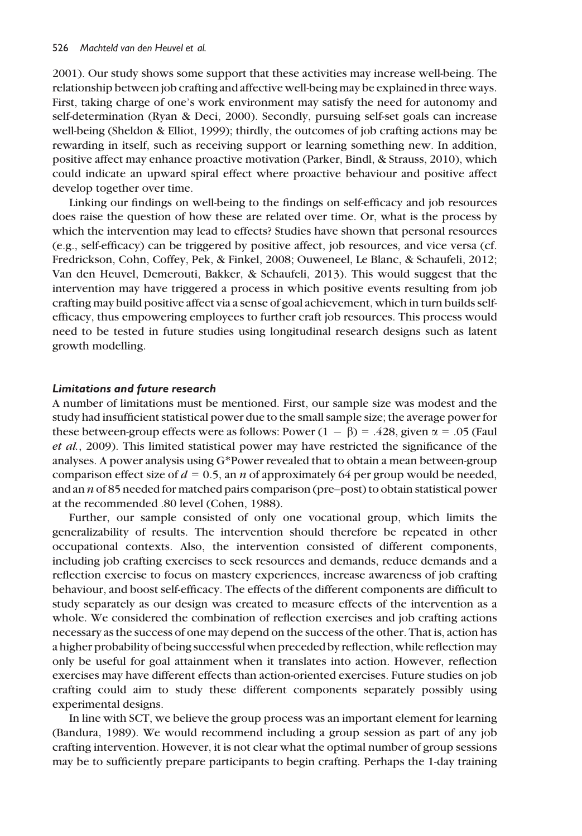2001). Our study shows some support that these activities may increase well-being. The relationship between job crafting and affective well-being may be explained in three ways. First, taking charge of one's work environment may satisfy the need for autonomy and self-determination (Ryan & Deci, 2000). Secondly, pursuing self-set goals can increase well-being (Sheldon & Elliot, 1999); thirdly, the outcomes of job crafting actions may be rewarding in itself, such as receiving support or learning something new. In addition, positive affect may enhance proactive motivation (Parker, Bindl, & Strauss, 2010), which could indicate an upward spiral effect where proactive behaviour and positive affect develop together over time.

Linking our findings on well-being to the findings on self-efficacy and job resources does raise the question of how these are related over time. Or, what is the process by which the intervention may lead to effects? Studies have shown that personal resources (e.g., self-efficacy) can be triggered by positive affect, job resources, and vice versa (cf. Fredrickson, Cohn, Coffey, Pek, & Finkel, 2008; Ouweneel, Le Blanc, & Schaufeli, 2012; Van den Heuvel, Demerouti, Bakker, & Schaufeli, 2013). This would suggest that the intervention may have triggered a process in which positive events resulting from job crafting may build positive affect via a sense of goal achievement, which in turn builds selfefficacy, thus empowering employees to further craft job resources. This process would need to be tested in future studies using longitudinal research designs such as latent growth modelling.

#### Limitations and future research

A number of limitations must be mentioned. First, our sample size was modest and the study had insufficient statistical power due to the small sample size; the average power for these between-group effects were as follows: Power  $(1 - \beta) = .428$ , given  $\alpha = .05$  (Faul et al., 2009). This limited statistical power may have restricted the significance of the analyses. A power analysis using G\*Power revealed that to obtain a mean between-group comparison effect size of  $d = 0.5$ , an *n* of approximately 64 per group would be needed, and an n of 85 needed for matched pairs comparison (pre–post) to obtain statistical power at the recommended .80 level (Cohen, 1988).

Further, our sample consisted of only one vocational group, which limits the generalizability of results. The intervention should therefore be repeated in other occupational contexts. Also, the intervention consisted of different components, including job crafting exercises to seek resources and demands, reduce demands and a reflection exercise to focus on mastery experiences, increase awareness of job crafting behaviour, and boost self-efficacy. The effects of the different components are difficult to study separately as our design was created to measure effects of the intervention as a whole. We considered the combination of reflection exercises and job crafting actions necessary as the success of one may depend on the success of the other. That is, action has a higher probability of being successful when preceded by reflection, while reflection may only be useful for goal attainment when it translates into action. However, reflection exercises may have different effects than action-oriented exercises. Future studies on job crafting could aim to study these different components separately possibly using experimental designs.

In line with SCT, we believe the group process was an important element for learning (Bandura, 1989). We would recommend including a group session as part of any job crafting intervention. However, it is not clear what the optimal number of group sessions may be to sufficiently prepare participants to begin crafting. Perhaps the 1-day training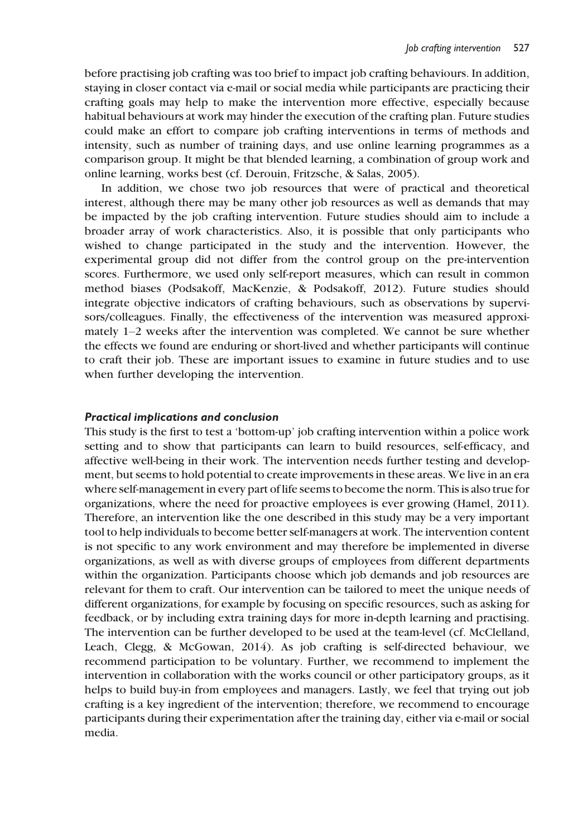before practising job crafting was too brief to impact job crafting behaviours. In addition, staying in closer contact via e-mail or social media while participants are practicing their crafting goals may help to make the intervention more effective, especially because habitual behaviours at work may hinder the execution of the crafting plan. Future studies could make an effort to compare job crafting interventions in terms of methods and intensity, such as number of training days, and use online learning programmes as a comparison group. It might be that blended learning, a combination of group work and online learning, works best (cf. Derouin, Fritzsche, & Salas, 2005).

In addition, we chose two job resources that were of practical and theoretical interest, although there may be many other job resources as well as demands that may be impacted by the job crafting intervention. Future studies should aim to include a broader array of work characteristics. Also, it is possible that only participants who wished to change participated in the study and the intervention. However, the experimental group did not differ from the control group on the pre-intervention scores. Furthermore, we used only self-report measures, which can result in common method biases (Podsakoff, MacKenzie, & Podsakoff, 2012). Future studies should integrate objective indicators of crafting behaviours, such as observations by supervisors/colleagues. Finally, the effectiveness of the intervention was measured approximately 1–2 weeks after the intervention was completed. We cannot be sure whether the effects we found are enduring or short-lived and whether participants will continue to craft their job. These are important issues to examine in future studies and to use when further developing the intervention.

#### Practical implications and conclusion

This study is the first to test a 'bottom-up' job crafting intervention within a police work setting and to show that participants can learn to build resources, self-efficacy, and affective well-being in their work. The intervention needs further testing and development, but seems to hold potential to create improvements in these areas. We live in an era where self-management in every part of life seems to become the norm. This is also true for organizations, where the need for proactive employees is ever growing (Hamel, 2011). Therefore, an intervention like the one described in this study may be a very important tool to help individuals to become better self-managers at work. The intervention content is not specific to any work environment and may therefore be implemented in diverse organizations, as well as with diverse groups of employees from different departments within the organization. Participants choose which job demands and job resources are relevant for them to craft. Our intervention can be tailored to meet the unique needs of different organizations, for example by focusing on specific resources, such as asking for feedback, or by including extra training days for more in-depth learning and practising. The intervention can be further developed to be used at the team-level (cf. McClelland, Leach, Clegg, & McGowan, 2014). As job crafting is self-directed behaviour, we recommend participation to be voluntary. Further, we recommend to implement the intervention in collaboration with the works council or other participatory groups, as it helps to build buy-in from employees and managers. Lastly, we feel that trying out job crafting is a key ingredient of the intervention; therefore, we recommend to encourage participants during their experimentation after the training day, either via e-mail or social media.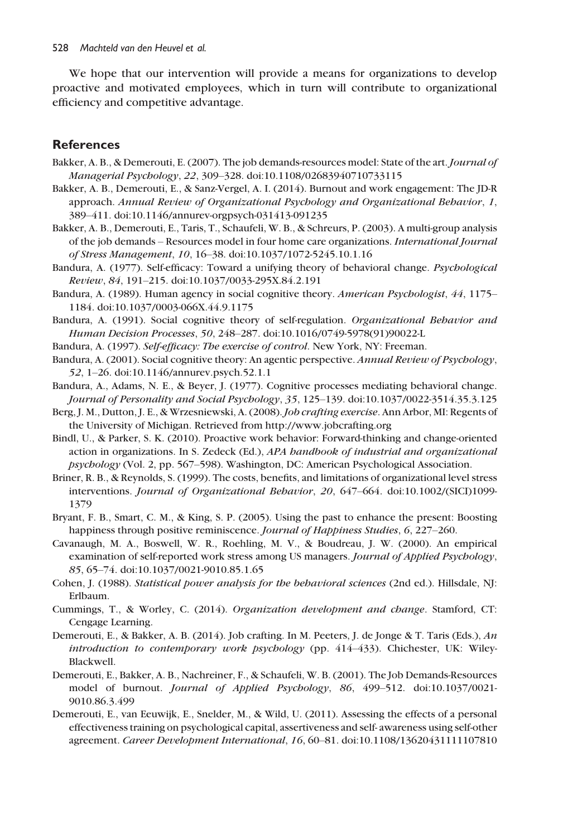We hope that our intervention will provide a means for organizations to develop proactive and motivated employees, which in turn will contribute to organizational efficiency and competitive advantage.

# References

- Bakker, A. B., & Demerouti, E. (2007). The job demands-resources model: State of the art. *Journal of* Managerial Psychology, 22, 309–328. doi:[10.1108/02683940710733115](http://dx.doi.org/10.1108/02683940710733115)
- Bakker, A. B., Demerouti, E., & Sanz-Vergel, A. I. (2014). Burnout and work engagement: The JD-R approach. Annual Review of Organizational Psychology and Organizational Behavior, 1, 389–411. doi[:10.1146/annurev-orgpsych-031413-091235](http://dx.doi.org/10.1146/annurev-orgpsych-031413-091235)
- Bakker, A. B., Demerouti, E., Taris, T., Schaufeli, W. B., & Schreurs, P. (2003). A multi-group analysis of the job demands – Resources model in four home care organizations. International Journal of Stress Management, 10, 16–38. doi:[10.1037/1072-5245.10.1.16](http://dx.doi.org/10.1037/1072-5245.10.1.16)
- Bandura, A. (1977). Self-efficacy: Toward a unifying theory of behavioral change. Psychological Review, 84, 191–215. doi:[10.1037/0033-295X.84.2.191](http://dx.doi.org/10.1037/0033-295X.84.2.191)
- Bandura, A. (1989). Human agency in social cognitive theory. American Psychologist, 44, 1175– 1184. doi[:10.1037/0003-066X.44.9.1175](http://dx.doi.org/10.1037/0003-066X.44.9.1175)
- Bandura, A. (1991). Social cognitive theory of self-regulation. Organizational Behavior and Human Decision Processes, 50, 248–287. doi:[10.1016/0749-5978\(91\)90022-L](http://dx.doi.org/10.1016/0749-5978(91)90022-L)
- Bandura, A. (1997). Self-efficacy: The exercise of control. New York, NY: Freeman.
- Bandura, A. (2001). Social cognitive theory: An agentic perspective. Annual Review of Psychology, 52, 1–26. doi:[10.1146/annurev.psych.52.1.1](http://dx.doi.org/10.1146/annurev.psych.52.1.1)
- Bandura, A., Adams, N. E., & Beyer, J. (1977). Cognitive processes mediating behavioral change. Journal of Personality and Social Psychology, 35, 125–139. doi[:10.1037/0022-3514.35.3.125](http://dx.doi.org/10.1037/0022-3514.35.3.125)
- Berg, J. M., Dutton, J. E., & Wrzesniewski, A. (2008).Job crafting exercise. Ann Arbor, MI: Regents of the University of Michigan. Retrieved from [http://www.jobcrafting.org](http://www.jobc�raf�ting.org)
- Bindl, U., & Parker, S. K. (2010). Proactive work behavior: Forward-thinking and change-oriented action in organizations. In S. Zedeck (Ed.), APA handbook of industrial and organizational psychology (Vol. 2, pp. 567–598). Washington, DC: American Psychological Association.
- Briner, R. B., & Reynolds, S. (1999). The costs, benefits, and limitations of organizational level stress interventions. Journal of Organizational Behavior, 20, 647–664. doi[:10.1002/\(SICI\)1099-](http://dx.doi.org/10.1002/(SICI)1099-1379) [1379](http://dx.doi.org/10.1002/(SICI)1099-1379)
- Bryant, F. B., Smart, C. M., & King, S. P. (2005). Using the past to enhance the present: Boosting happiness through positive reminiscence. *Journal of Happiness Studies*, 6, 227–260.
- Cavanaugh, M. A., Boswell, W. R., Roehling, M. V., & Boudreau, J. W. (2000). An empirical examination of self-reported work stress among US managers. Journal of Applied Psychology, 85, 65–74. doi:[10.1037/0021-9010.85.1.65](http://dx.doi.org/10.1037/0021-9010.85.1.65)
- Cohen, J. (1988). Statistical power analysis for the behavioral sciences (2nd ed.). Hillsdale, NJ: Erlbaum.
- Cummings, T., & Worley, C. (2014). Organization development and change. Stamford, CT: Cengage Learning.
- Demerouti, E., & Bakker, A. B. (2014). Job crafting. In M. Peeters, J. de Jonge & T. Taris (Eds.), An introduction to contemporary work psychology (pp.  $414-433$ ). Chichester, UK: Wiley-Blackwell.
- Demerouti, E., Bakker, A. B., Nachreiner, F., & Schaufeli, W. B. (2001). The Job Demands-Resources model of burnout. Journal of Applied Psychology, 86, 499–512. doi:[10.1037/0021-](http://dx.doi.org/10.1037/0021-9010.86.3.499) [9010.86.3.499](http://dx.doi.org/10.1037/0021-9010.86.3.499)
- Demerouti, E., van Eeuwijk, E., Snelder, M., & Wild, U. (2011). Assessing the effects of a personal effectiveness training on psychological capital, assertiveness and self- awareness using self-other agreement. Career Development International, 16, 60–81. doi:[10.1108/13620431111107810](http://dx.doi.org/10.1108/13620431111107810)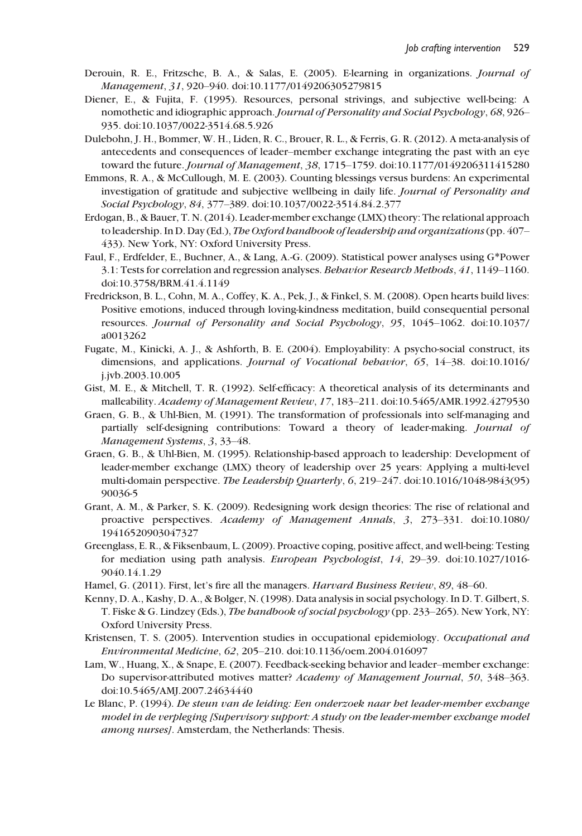- Derouin, R. E., Fritzsche, B. A., & Salas, E. (2005). E-learning in organizations. Journal of Management, 31, 920–940. doi:[10.1177/0149206305279815](http://dx.doi.org/10.1177/0149206305279815)
- Diener, E., & Fujita, F. (1995). Resources, personal strivings, and subjective well-being: A nomothetic and idiographic approach. Journal of Personality and Social Psychology, 68, 926– 935. doi:[10.1037/0022-3514.68.5.926](http://dx.doi.org/10.1037/0022-3514.68.5.926)
- Dulebohn, J. H., Bommer, W. H., Liden, R. C., Brouer, R. L., & Ferris, G. R. (2012). A meta-analysis of antecedents and consequences of leader–member exchange integrating the past with an eye toward the future. Journal of Management, 38, 1715–1759. doi:[10.1177/0149206311415280](http://dx.doi.org/10.1177/0149206311415280)
- Emmons, R. A., & McCullough, M. E. (2003). Counting blessings versus burdens: An experimental investigation of gratitude and subjective wellbeing in daily life. Journal of Personality and Social Psychology, 84, 377–389. doi[:10.1037/0022-3514.84.2.377](http://dx.doi.org/10.1037/0022-3514.84.2.377)
- Erdogan, B., & Bauer, T. N. (2014). Leader-member exchange (LMX) theory: The relational approach to leadership. In D. Day (Ed.), The Oxford handbook of leadership and organizations (pp.  $407-$ 433). New York, NY: Oxford University Press.
- Faul, F., Erdfelder, E., Buchner, A., & Lang, A.-G. (2009). Statistical power analyses using G\*Power 3.1: Tests for correlation and regression analyses. Behavior Research Methods, 41, 1149–1160. doi:[10.3758/BRM.41.4.1149](http://dx.doi.org/10.3758/BRM.41.4.1149)
- Fredrickson, B. L., Cohn, M. A., Coffey, K. A., Pek, J., & Finkel, S. M. (2008). Open hearts build lives: Positive emotions, induced through loving-kindness meditation, build consequential personal resources. Journal of Personality and Social Psychology, 95, 1045–1062. doi:[10.1037/](http://dx.doi.org/10.1037/a0013262) [a0013262](http://dx.doi.org/10.1037/a0013262)
- Fugate, M., Kinicki, A. J., & Ashforth, B. E. (2004). Employability: A psycho-social construct, its dimensions, and applications. Journal of Vocational behavior, 65, 14-38. doi:[10.1016/](http://dx.doi.org/10.1016/j.jvb.2003.10.005) [j.jvb.2003.10.005](http://dx.doi.org/10.1016/j.jvb.2003.10.005)
- Gist, M. E., & Mitchell, T. R. (1992). Self-efficacy: A theoretical analysis of its determinants and malleability. Academy of Management Review, 17, 183–211. doi:[10.5465/AMR.1992.4279530](http://dx.doi.org/10.5465/AMR.1992.4279530)
- Graen, G. B., & Uhl-Bien, M. (1991). The transformation of professionals into self-managing and partially self-designing contributions: Toward a theory of leader-making. Journal of Management Systems, 3, 33–48.
- Graen, G. B., & Uhl-Bien, M. (1995). Relationship-based approach to leadership: Development of leader-member exchange (LMX) theory of leadership over 25 years: Applying a multi-level multi-domain perspective. The Leadership Quarterly, 6, 219-247. doi:[10.1016/1048-9843\(95\)](http://dx.doi.org/10.1016/1048-9843(95)90036-5) [90036-5](http://dx.doi.org/10.1016/1048-9843(95)90036-5)
- Grant, A. M., & Parker, S. K. (2009). Redesigning work design theories: The rise of relational and proactive perspectives. Academy of Management Annals, 3, 273–331. doi:[10.1080/](http://dx.doi.org/10.1080/19416520903047327) [19416520903047327](http://dx.doi.org/10.1080/19416520903047327)
- Greenglass, E. R., & Fiksenbaum, L. (2009). Proactive coping, positive affect, and well-being: Testing for mediation using path analysis. European Psychologist, 14, 29–39. doi:[10.1027/1016-](http://dx.doi.org/10.1027/1016-9040.14.1.29) [9040.14.1.29](http://dx.doi.org/10.1027/1016-9040.14.1.29)
- Hamel, G. (2011). First, let's fire all the managers. Harvard Business Review, 89, 48–60.
- Kenny, D. A., Kashy, D. A., & Bolger, N. (1998). Data analysis in social psychology. In D. T. Gilbert, S. T. Fiske & G. Lindzey (Eds.), The handbook of social psychology (pp. 233–265). New York, NY: Oxford University Press.
- Kristensen, T. S. (2005). Intervention studies in occupational epidemiology. Occupational and Environmental Medicine, 62, 205–210. doi[:10.1136/oem.2004.016097](http://dx.doi.org/10.1136/oem.2004.016097)
- Lam, W., Huang, X., & Snape, E. (2007). Feedback-seeking behavior and leader–member exchange: Do supervisor-attributed motives matter? Academy of Management Journal, 50, 348–363. doi:[10.5465/AMJ.2007.24634440](http://dx.doi.org/10.5465/AMJ.2007.24634440)
- Le Blanc, P. (1994). De steun van de leiding: Een onderzoek naar het leader-member exchange model in de verpleging [Supervisory support: A study on the leader-member exchange model among nurses]. Amsterdam, the Netherlands: Thesis.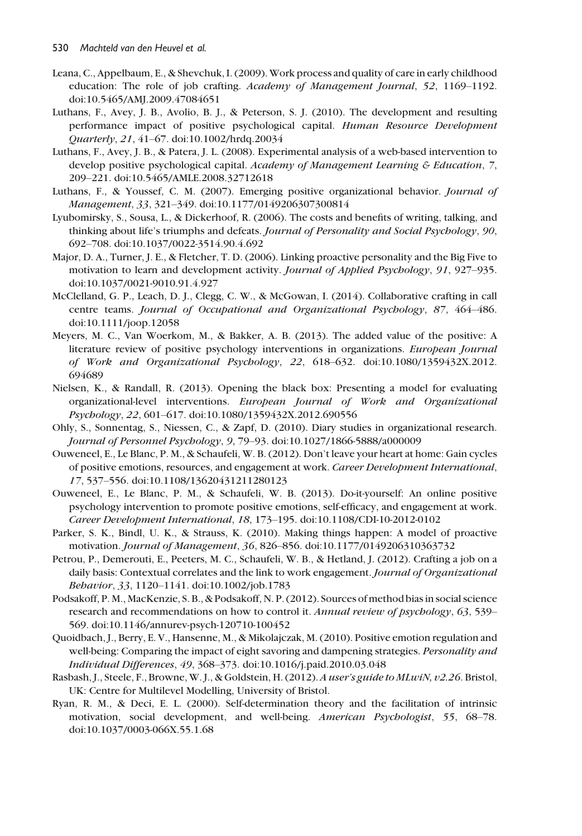- Leana, C., Appelbaum, E., & Shevchuk, I. (2009). Work process and quality of care in early childhood education: The role of job crafting. Academy of Management Journal, 52, 1169–1192. doi:[10.5465/AMJ.2009.47084651](http://dx.doi.org/10.5465/AMJ.2009.47084651)
- Luthans, F., Avey, J. B., Avolio, B. J., & Peterson, S. J. (2010). The development and resulting performance impact of positive psychological capital. Human Resource Development Quarterly, 21, 41–67. doi[:10.1002/hrdq.20034](http://dx.doi.org/10.1002/hrdq.20034)
- Luthans, F., Avey, J. B., & Patera, J. L. (2008). Experimental analysis of a web-based intervention to develop positive psychological capital. Academy of Management Learning & Education, 7, 209–221. doi[:10.5465/AMLE.2008.32712618](http://dx.doi.org/10.5465/AMLE.2008.32712618)
- Luthans, F., & Youssef, C. M. (2007). Emerging positive organizational behavior. Journal of Management, 33, 321–349. doi:[10.1177/0149206307300814](http://dx.doi.org/10.1177/0149206307300814)
- Lyubomirsky, S., Sousa, L., & Dickerhoof, R. (2006). The costs and benefits of writing, talking, and thinking about life's triumphs and defeats. Journal of Personality and Social Psychology, 90, 692–708. doi[:10.1037/0022-3514.90.4.692](http://dx.doi.org/10.1037/0022-3514.90.4.692)
- Major, D. A., Turner, J. E., & Fletcher, T. D. (2006). Linking proactive personality and the Big Five to motivation to learn and development activity. Journal of Applied Psychology, 91, 927–935. doi:[10.1037/0021-9010.91.4.927](http://dx.doi.org/10.1037/0021-9010.91.4.927)
- McClelland, G. P., Leach, D. J., Clegg, C. W., & McGowan, I. (2014). Collaborative crafting in call centre teams. Journal of Occupational and Organizational Psychology, 87, 464–486. doi:[10.1111/joop.12058](http://dx.doi.org/10.1111/joop.12058)
- Meyers, M. C., Van Woerkom, M., & Bakker, A. B. (2013). The added value of the positive: A literature review of positive psychology interventions in organizations. European Journal of Work and Organizational Psychology, 22, 618–632. doi[:10.1080/1359432X.2012.](http://dx.doi.org/10.1080/1359432X.2012.694689) [694689](http://dx.doi.org/10.1080/1359432X.2012.694689)
- Nielsen, K., & Randall, R. (2013). Opening the black box: Presenting a model for evaluating organizational-level interventions. European Journal of Work and Organizational Psychology, 22, 601–617. doi:[10.1080/1359432X.2012.690556](http://dx.doi.org/10.1080/1359432X.2012.690556)
- Ohly, S., Sonnentag, S., Niessen, C., & Zapf, D. (2010). Diary studies in organizational research. Journal of Personnel Psychology, 9, 79–93. doi:[10.1027/1866-5888/a000009](http://dx.doi.org/10.1027/1866-5888/a000009)
- Ouweneel, E., Le Blanc, P. M., & Schaufeli, W. B. (2012). Don't leave your heart at home: Gain cycles of positive emotions, resources, and engagement at work. Career Development International, 17, 537–556. doi[:10.1108/13620431211280123](http://dx.doi.org/10.1108/13620431211280123)
- Ouweneel, E., Le Blanc, P. M., & Schaufeli, W. B. (2013). Do-it-yourself: An online positive psychology intervention to promote positive emotions, self-efficacy, and engagement at work. Career Development International, 18, 173–195. doi[:10.1108/CDI-10-2012-0102](http://dx.doi.org/10.1108/CDI-10-2012-0102)
- Parker, S. K., Bindl, U. K., & Strauss, K. (2010). Making things happen: A model of proactive motivation. Journal of Management, 36, 826–856. doi:[10.1177/0149206310363732](http://dx.doi.org/10.1177/0149206310363732)
- Petrou, P., Demerouti, E., Peeters, M. C., Schaufeli, W. B., & Hetland, J. (2012). Crafting a job on a daily basis: Contextual correlates and the link to work engagement. Journal of Organizational Behavior, 33, 1120–1141. doi[:10.1002/job.1783](http://dx.doi.org/10.1002/job.1783)
- Podsakoff, P. M., MacKenzie, S. B., & Podsakoff, N. P. (2012). Sources of method bias in social science research and recommendations on how to control it. Annual review of psychology, 63, 539– 569. doi:[10.1146/annurev-psych-120710-100452](http://dx.doi.org/10.1146/annurev-psych-120710-100452)
- Quoidbach, J., Berry, E. V., Hansenne, M., & Mikolajczak, M. (2010). Positive emotion regulation and well-being: Comparing the impact of eight savoring and dampening strategies. Personality and Individual Differences, 49, 368–373. doi:[10.1016/j.paid.2010.03.048](http://dx.doi.org/10.1016/j.paid.2010.03.048)
- Rasbash, J., Steele, F., Browne, W. J., & Goldstein, H. (2012). A user's guide to MLwiN, v2.26. Bristol, UK: Centre for Multilevel Modelling, University of Bristol.
- Ryan, R. M., & Deci, E. L. (2000). Self-determination theory and the facilitation of intrinsic motivation, social development, and well-being. American Psychologist, 55, 68–78. doi:[10.1037/0003-066X.55.1.68](http://dx.doi.org/10.1037/0003-066X.55.1.68)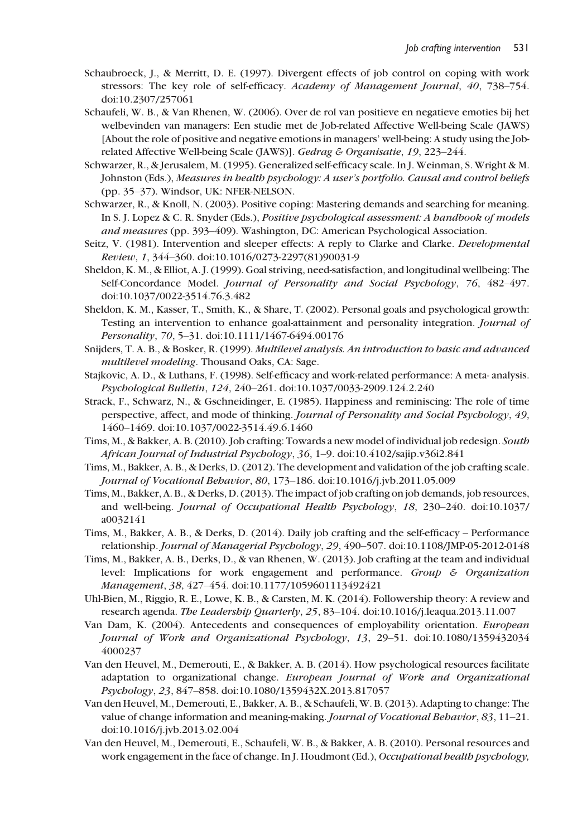- Schaubroeck, J., & Merritt, D. E. (1997). Divergent effects of job control on coping with work stressors: The key role of self-efficacy. Academy of Management Journal, 40, 738–754. doi:[10.2307/257061](http://dx.doi.org/10.2307/257061)
- Schaufeli, W. B., & Van Rhenen, W. (2006). Over de rol van positieve en negatieve emoties bij het welbevinden van managers: Een studie met de Job-related Affective Well-being Scale (JAWS) [About the role of positive and negative emotions in managers' well-being: A study using the Jobrelated Affective Well-being Scale (JAWS)]. Gedrag & Organisatie, 19, 223–244.
- Schwarzer, R., & Jerusalem, M. (1995). Generalized self-efficacy scale. In J. Weinman, S. Wright & M. Johnston (Eds.), Measures in health psychology: A user's portfolio. Causal and control beliefs (pp. 35–37). Windsor, UK: NFER-NELSON.
- Schwarzer, R., & Knoll, N. (2003). Positive coping: Mastering demands and searching for meaning. In S. J. Lopez & C. R. Snyder (Eds.), Positive psychological assessment: A handbook of models and measures (pp. 393–409). Washington, DC: American Psychological Association.
- Seitz, V. (1981). Intervention and sleeper effects: A reply to Clarke and Clarke. Developmental Review, 1, 344–360. doi:[10.1016/0273-2297\(81\)90031-9](http://dx.doi.org/10.1016/0273-2297(81)90031-9)
- Sheldon, K. M., & Elliot, A. J. (1999). Goal striving, need-satisfaction, and longitudinal wellbeing: The Self-Concordance Model. Journal of Personality and Social Psychology, 76, 482–497. doi:[10.1037/0022-3514.76.3.482](http://dx.doi.org/10.1037/0022-3514.76.3.482)
- Sheldon, K. M., Kasser, T., Smith, K., & Share, T. (2002). Personal goals and psychological growth: Testing an intervention to enhance goal-attainment and personality integration. Journal of Personality, 70, 5–31. doi:[10.1111/1467-6494.00176](http://dx.doi.org/10.1111/1467-6494.00176)
- Snijders, T. A. B., & Bosker, R. (1999). Multilevel analysis. An introduction to basic and advanced multilevel modeling. Thousand Oaks, CA: Sage.
- Stajkovic, A. D., & Luthans, F. (1998). Self-efficacy and work-related performance: A meta- analysis. Psychological Bulletin, 124, 240–261. doi[:10.1037/0033-2909.124.2.240](http://dx.doi.org/10.1037/0033-2909.124.2.240)
- Strack, F., Schwarz, N., & Gschneidinger, E. (1985). Happiness and reminiscing: The role of time perspective, affect, and mode of thinking. Journal of Personality and Social Psychology, 49, 1460–1469. doi:[10.1037/0022-3514.49.6.1460](http://dx.doi.org/10.1037/0022-3514.49.6.1460)
- Tims, M., & Bakker, A. B. (2010). Job crafting: Towards a new model of individual job redesign. South African Journal of Industrial Psychology, 36, 1–9. doi[:10.4102/sajip.v36i2.841](http://dx.doi.org/10.4102/sajip.v36i2.841)
- Tims, M., Bakker, A. B., & Derks, D. (2012). The development and validation of the job crafting scale. Journal of Vocational Behavior, 80, 173–186. doi[:10.1016/j.jvb.2011.05.009](http://dx.doi.org/10.1016/j.jvb.2011.05.009)
- Tims, M., Bakker, A. B., & Derks, D. (2013). The impact of job crafting on job demands, job resources, and well-being. Journal of Occupational Health Psychology, 18, 230–240. doi:[10.1037/](http://dx.doi.org/10.1037/a0032141) [a0032141](http://dx.doi.org/10.1037/a0032141)
- Tims, M., Bakker, A. B., & Derks, D. (2014). Daily job crafting and the self-efficacy Performance relationship. Journal of Managerial Psychology, 29, 490–507. doi[:10.1108/JMP-05-2012-0148](http://dx.doi.org/10.1108/JMP-05-2012-0148)
- Tims, M., Bakker, A. B., Derks, D., & van Rhenen, W. (2013). Job crafting at the team and individual level: Implications for work engagement and performance. Group & Organization Management, 38, 427–454. doi:[10.1177/1059601113492421](http://dx.doi.org/10.1177/1059601113492421)
- Uhl-Bien, M., Riggio, R. E., Lowe, K. B., & Carsten, M. K. (2014). Followership theory: A review and research agenda. The Leadership Quarterly, 25, 83–104. doi:[10.1016/j.leaqua.2013.11.007](http://dx.doi.org/10.1016/j.leaqua.2013.11.007)
- Van Dam, K. (2004). Antecedents and consequences of employability orientation. European Journal of Work and Organizational Psychology, 13, 29–51. doi[:10.1080/1359432034](http://dx.doi.org/10.1080/13594320344000237) [4000237](http://dx.doi.org/10.1080/13594320344000237)
- Van den Heuvel, M., Demerouti, E., & Bakker, A. B. (2014). How psychological resources facilitate adaptation to organizational change. European Journal of Work and Organizational Psychology, 23, 847–858. doi:[10.1080/1359432X.2013.817057](http://dx.doi.org/10.1080/1359432X.2013.817057)
- Van den Heuvel, M., Demerouti, E., Bakker, A. B., & Schaufeli, W. B. (2013). Adapting to change: The value of change information and meaning-making. Journal of Vocational Behavior, 83, 11–21. doi:[10.1016/j.jvb.2013.02.004](http://dx.doi.org/10.1016/j.jvb.2013.02.004)
- Van den Heuvel, M., Demerouti, E., Schaufeli, W. B., & Bakker, A. B. (2010). Personal resources and work engagement in the face of change. In J. Houdmont (Ed.), *Occupational health psychology*,